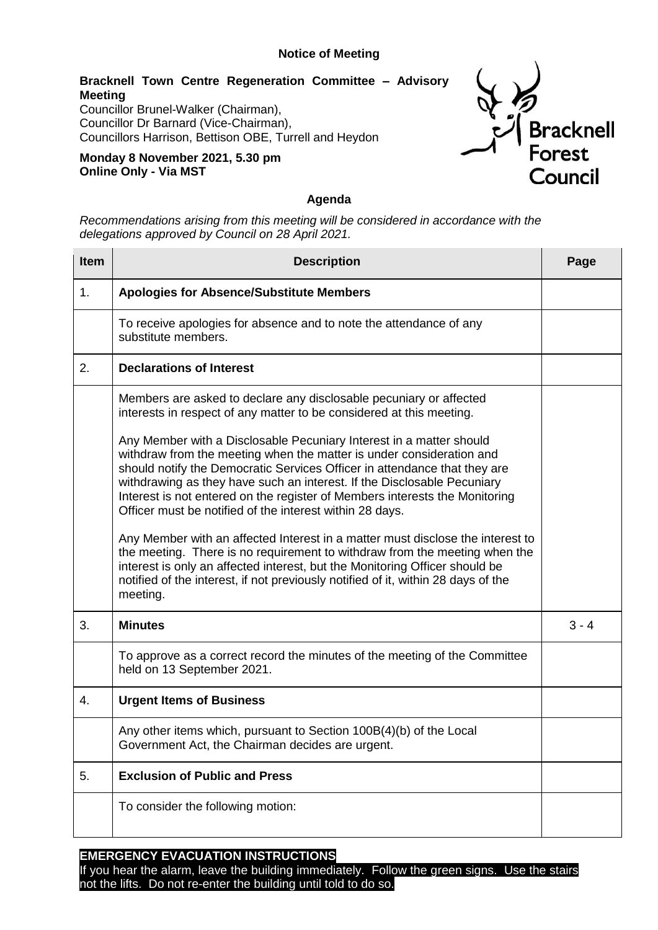## **Notice of Meeting**

### **Bracknell Town Centre Regeneration Committee – Advisory Meeting**

Councillor Brunel-Walker (Chairman), Councillor Dr Barnard (Vice-Chairman), Councillors Harrison, Bettison OBE, Turrell and Heydon

#### **Monday 8 November 2021, 5.30 pm Online Only - Via MST**



## **Agenda**

*Recommendations arising from this meeting will be considered in accordance with the delegations approved by Council on 28 April 2021.*

| <b>Item</b> | <b>Description</b>                                                                                                                                                                                                                                                                                                                                                                                                                             | Page    |
|-------------|------------------------------------------------------------------------------------------------------------------------------------------------------------------------------------------------------------------------------------------------------------------------------------------------------------------------------------------------------------------------------------------------------------------------------------------------|---------|
| 1.          | <b>Apologies for Absence/Substitute Members</b>                                                                                                                                                                                                                                                                                                                                                                                                |         |
|             | To receive apologies for absence and to note the attendance of any<br>substitute members.                                                                                                                                                                                                                                                                                                                                                      |         |
| 2.          | <b>Declarations of Interest</b>                                                                                                                                                                                                                                                                                                                                                                                                                |         |
|             | Members are asked to declare any disclosable pecuniary or affected<br>interests in respect of any matter to be considered at this meeting.                                                                                                                                                                                                                                                                                                     |         |
|             | Any Member with a Disclosable Pecuniary Interest in a matter should<br>withdraw from the meeting when the matter is under consideration and<br>should notify the Democratic Services Officer in attendance that they are<br>withdrawing as they have such an interest. If the Disclosable Pecuniary<br>Interest is not entered on the register of Members interests the Monitoring<br>Officer must be notified of the interest within 28 days. |         |
|             | Any Member with an affected Interest in a matter must disclose the interest to<br>the meeting. There is no requirement to withdraw from the meeting when the<br>interest is only an affected interest, but the Monitoring Officer should be<br>notified of the interest, if not previously notified of it, within 28 days of the<br>meeting.                                                                                                   |         |
| 3.          | <b>Minutes</b>                                                                                                                                                                                                                                                                                                                                                                                                                                 | $3 - 4$ |
|             | To approve as a correct record the minutes of the meeting of the Committee<br>held on 13 September 2021.                                                                                                                                                                                                                                                                                                                                       |         |
| 4.          | <b>Urgent Items of Business</b>                                                                                                                                                                                                                                                                                                                                                                                                                |         |
|             | Any other items which, pursuant to Section 100B(4)(b) of the Local<br>Government Act, the Chairman decides are urgent.                                                                                                                                                                                                                                                                                                                         |         |
| 5.          | <b>Exclusion of Public and Press</b>                                                                                                                                                                                                                                                                                                                                                                                                           |         |
|             | To consider the following motion:                                                                                                                                                                                                                                                                                                                                                                                                              |         |

# **EMERGENCY EVACUATION INSTRUCTIONS**

If you hear the alarm, leave the building immediately. Follow the green signs. Use the stairs not the lifts. Do not re-enter the building until told to do so.